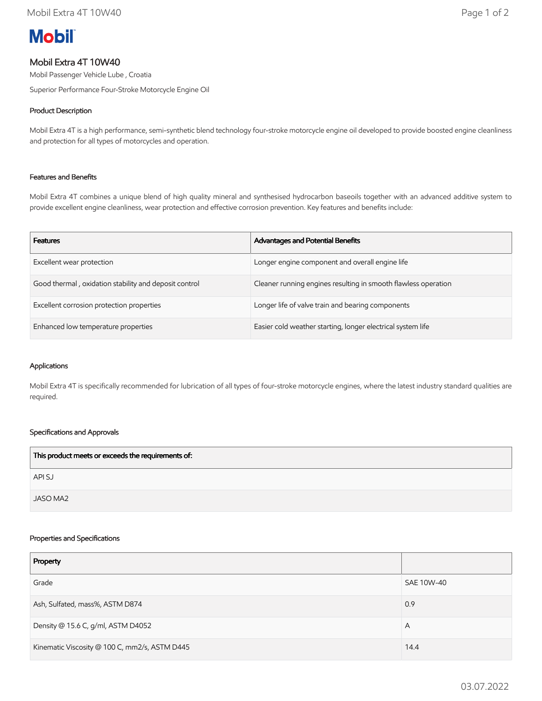# **Mobil**

# Mobil Extra 4T 10W40

Mobil Passenger Vehicle Lube , Croatia

Superior Performance Four-Stroke Motorcycle Engine Oil

# Product Description

Mobil Extra 4T is a high performance, semi-synthetic blend technology four-stroke motorcycle engine oil developed to provide boosted engine cleanliness and protection for all types of motorcycles and operation.

## Features and Benefits

Mobil Extra 4T combines a unique blend of high quality mineral and synthesised hydrocarbon baseoils together with an advanced additive system to provide excellent engine cleanliness, wear protection and effective corrosion prevention. Key features and benefits include:

| <b>Features</b>                                       | <b>Advantages and Potential Benefits</b>                       |
|-------------------------------------------------------|----------------------------------------------------------------|
| Excellent wear protection                             | Longer engine component and overall engine life                |
| Good thermal, oxidation stability and deposit control | Cleaner running engines resulting in smooth flawless operation |
| Excellent corrosion protection properties             | Longer life of valve train and bearing components              |
| Enhanced low temperature properties                   | Easier cold weather starting, longer electrical system life    |

#### Applications

Mobil Extra 4T is specifically recommended for lubrication of all types of four-stroke motorcycle engines, where the latest industry standard qualities are required.

## Specifications and Approvals

| This product meets or exceeds the requirements of: |  |
|----------------------------------------------------|--|
| API SJ                                             |  |
| JASO MA2                                           |  |

#### Properties and Specifications

| Property                                      |            |
|-----------------------------------------------|------------|
| Grade                                         | SAE 10W-40 |
| Ash, Sulfated, mass%, ASTM D874               | 0.9        |
| Density @ 15.6 C, g/ml, ASTM D4052            | A          |
| Kinematic Viscosity @ 100 C, mm2/s, ASTM D445 | 14.4       |